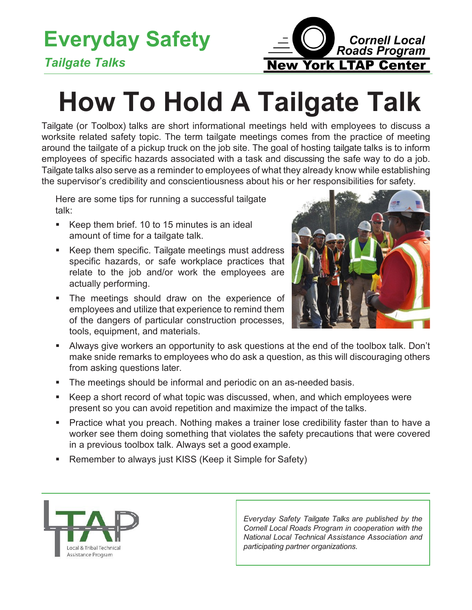## **Everyday Safety**



## *Tailgate Talks*

## **How To Hold A Tailgate Talk**

Tailgate (or Toolbox) talks are short informational meetings held with employees to discuss a worksite related safety topic. The term tailgate meetings comes from the practice of meeting around the tailgate of a pickup truck on the job site. The goal of hosting tailgate talks is to inform employees of specific hazards associated with a task and discussing the safe way to do a job. Tailgate talks also serve as a reminder to employees of what they already know while establishing the supervisor's credibility and conscientiousness about his or her responsibilities for safety.

Here are some tips for running a successful tailgate talk:

- Keep them brief. 10 to 15 minutes is an ideal amount of time for a tailgate talk.
- Keep them specific. Tailgate meetings must address specific hazards, or safe workplace practices that relate to the job and/or work the employees are actually performing.
- **The meetings should draw on the experience of** employees and utilize that experience to remind them of the dangers of particular construction processes, tools, equipment, and materials.



- Always give workers an opportunity to ask questions at the end of the toolbox talk. Don't make snide remarks to employees who do ask a question, as this will discouraging others from asking questions later.
- The meetings should be informal and periodic on an as-needed basis.
- Keep a short record of what topic was discussed, when, and which employees were present so you can avoid repetition and maximize the impact of the talks.
- Practice what you preach. Nothing makes a trainer lose credibility faster than to have a worker see them doing something that violates the safety precautions that were covered in a previous toolbox talk. Always set a good example.
- Remember to always just KISS (Keep it Simple for Safety)



*Everyday Safety Tailgate Talks are published by the Cornell Local Roads Program in cooperation with the National Local Technical Assistance Association and participating partner organizations.*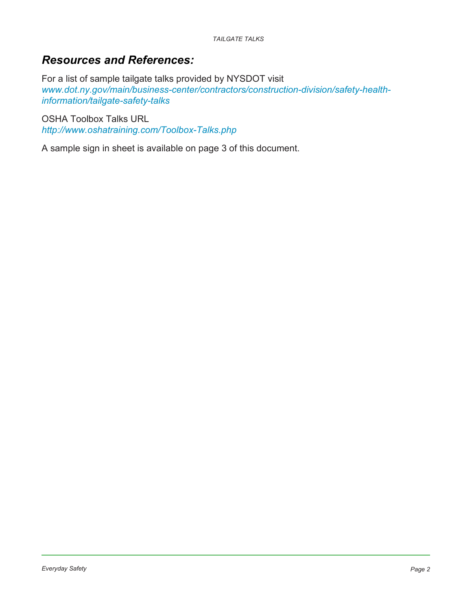## *Resources and References:*

For a list of sample tailgate talks provided by NYSDOT visit *[www.dot.ny.gov/main/business-center/contractors/construction-division/safety-health](http://www.dot.ny.gov/main/business-center/contractors/construction-division/safety-health-information/tail)[information/tailgate-safety-talks](http://www.dot.ny.gov/main/business-center/contractors/construction-division/safety-health-information/tail)*

OSHA Toolbox Talks URL *<http://www.oshatraining.com/Toolbox-Talks.php>*

A sample sign in sheet is available on page 3 of this document.